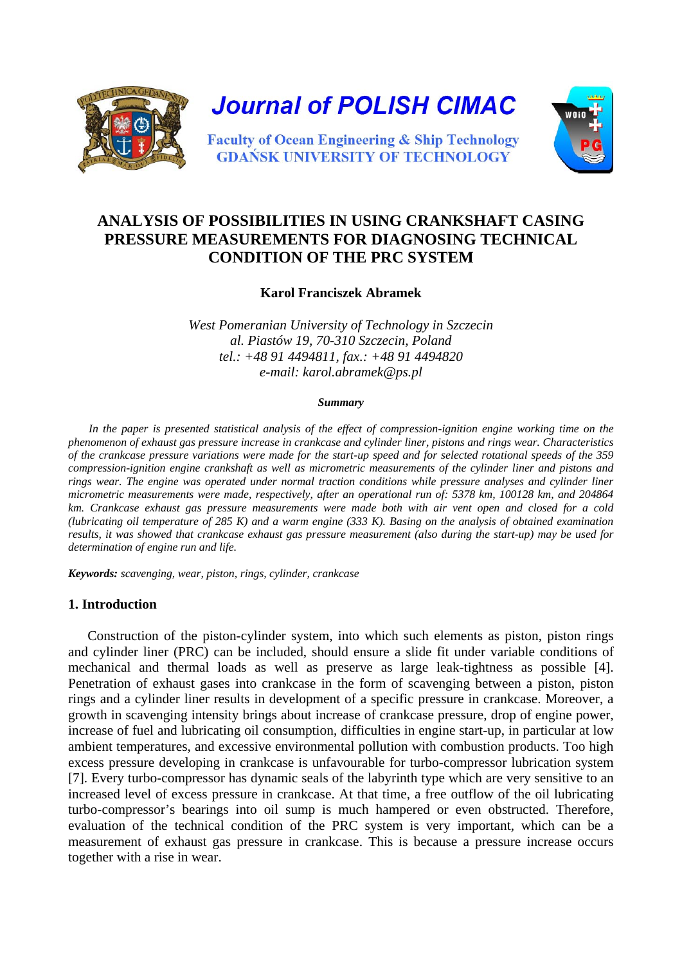

# **ANALYSIS OF POSSIBILITIES IN USING CRANKSHAFT CASING PRESSURE MEASUREMENTS FOR DIAGNOSING TECHNICAL CONDITION OF THE PRC SYSTEM**

# **Karol Franciszek Abramek**

*West Pomeranian University of Technology in Szczecin al. Piastów 19, 70-310 Szczecin, Poland tel.: +48 91 4494811, fax.: +48 91 4494820 e-mail: karol.abramek@ps.pl*

#### *Summary*

In the paper is presented statistical analysis of the effect of compression-ignition engine working time on the *phenomenon of exhaust gas pressure increase in crankcase and cylinder liner, pistons and rings wear. Characteristics of the crankcase pressure variations were made for the start-up speed and for selected rotational speeds of the 359 compression-ignition engine crankshaft as well as micrometric measurements of the cylinder liner and pistons and rings wear. The engine was operated under normal traction conditions while pressure analyses and cylinder liner micrometric measurements were made, respectively, after an operational run of: 5378 km, 100128 km, and 204864 km. Crankcase exhaust gas pressure measurements were made both with air vent open and closed for a cold (lubricating oil temperature of 285 K) and a warm engine (333 K). Basing on the analysis of obtained examination results, it was showed that crankcase exhaust gas pressure measurement (also during the start-up) may be used for determination of engine run and life.* 

*Keywords: scavenging, wear, piston, rings, cylinder, crankcase*

# **1. Introduction**

Construction of the piston-cylinder system, into which such elements as piston, piston rings and cylinder liner (PRC) can be included, should ensure a slide fit under variable conditions of mechanical and thermal loads as well as preserve as large leak-tightness as possible [4]. Penetration of exhaust gases into crankcase in the form of scavenging between a piston, piston rings and a cylinder liner results in development of a specific pressure in crankcase. Moreover, a growth in scavenging intensity brings about increase of crankcase pressure, drop of engine power, increase of fuel and lubricating oil consumption, difficulties in engine start-up, in particular at low ambient temperatures, and excessive environmental pollution with combustion products. Too high excess pressure developing in crankcase is unfavourable for turbo-compressor lubrication system [7]. Every turbo-compressor has dynamic seals of the labyrinth type which are very sensitive to an increased level of excess pressure in crankcase. At that time, a free outflow of the oil lubricating turbo-compressor's bearings into oil sump is much hampered or even obstructed. Therefore, evaluation of the technical condition of the PRC system is very important, which can be a measurement of exhaust gas pressure in crankcase. This is because a pressure increase occurs together with a rise in wear.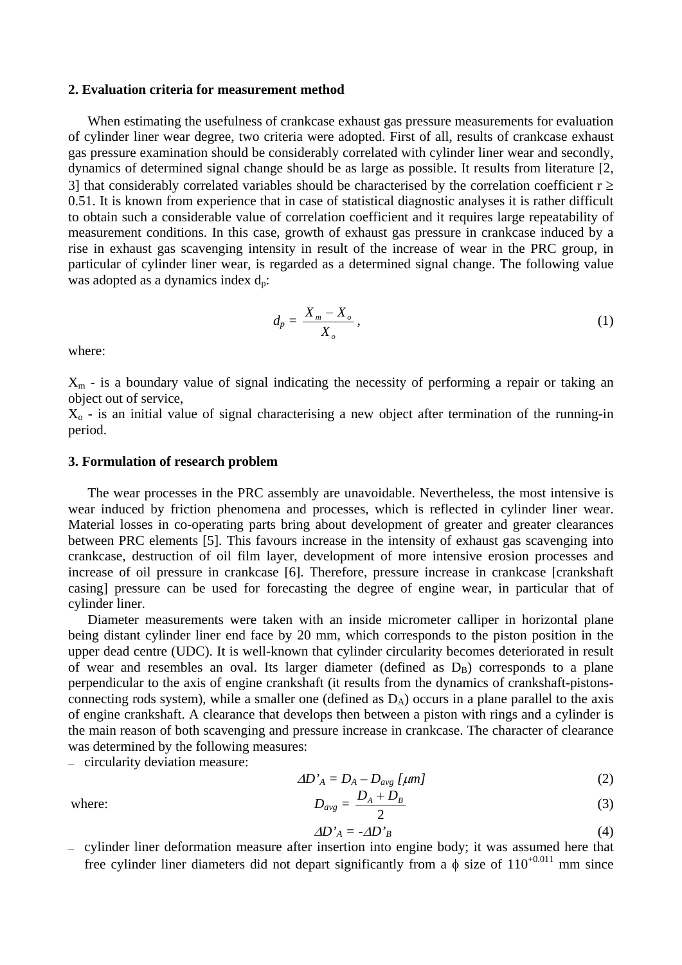#### **2. Evaluation criteria for measurement method**

When estimating the usefulness of crankcase exhaust gas pressure measurements for evaluation of cylinder liner wear degree, two criteria were adopted. First of all, results of crankcase exhaust gas pressure examination should be considerably correlated with cylinder liner wear and secondly, dynamics of determined signal change should be as large as possible. It results from literature [2, 3] that considerably correlated variables should be characterised by the correlation coefficient  $r \ge$ 0.51. It is known from experience that in case of statistical diagnostic analyses it is rather difficult to obtain such a considerable value of correlation coefficient and it requires large repeatability of measurement conditions. In this case, growth of exhaust gas pressure in crankcase induced by a rise in exhaust gas scavenging intensity in result of the increase of wear in the PRC group, in particular of cylinder liner wear, is regarded as a determined signal change. The following value was adopted as a dynamics index  $d_p$ :

$$
d_p = \frac{X_m - X_o}{X_o},\tag{1}
$$

where:

 $X<sub>m</sub>$  - is a boundary value of signal indicating the necessity of performing a repair or taking an object out of service,

 $X<sub>o</sub>$  - is an initial value of signal characterising a new object after termination of the running-in period.

#### **3. Formulation of research problem**

The wear processes in the PRC assembly are unavoidable. Nevertheless, the most intensive is wear induced by friction phenomena and processes, which is reflected in cylinder liner wear. Material losses in co-operating parts bring about development of greater and greater clearances between PRC elements [5]. This favours increase in the intensity of exhaust gas scavenging into crankcase, destruction of oil film layer, development of more intensive erosion processes and increase of oil pressure in crankcase [6]. Therefore, pressure increase in crankcase [crankshaft casing] pressure can be used for forecasting the degree of engine wear, in particular that of cylinder liner.

Diameter measurements were taken with an inside micrometer calliper in horizontal plane being distant cylinder liner end face by 20 mm, which corresponds to the piston position in the upper dead centre (UDC). It is well-known that cylinder circularity becomes deteriorated in result of wear and resembles an oval. Its larger diameter (defined as  $D_B$ ) corresponds to a plane perpendicular to the axis of engine crankshaft (it results from the dynamics of crankshaft-pistonsconnecting rods system), while a smaller one (defined as  $D_A$ ) occurs in a plane parallel to the axis of engine crankshaft. A clearance that develops then between a piston with rings and a cylinder is the main reason of both scavenging and pressure increase in crankcase. The character of clearance was determined by the following measures:

 $-$  circularity deviation measure:

$$
\Delta D_A^{\prime} = D_A - D_{avg} \left[ \mu m \right] \tag{2}
$$

where:  $D_{avg} =$ 2  $\frac{D_A + D_B}{2}$  (3)

$$
\Delta D_A^{\prime} = -\Delta D_B^{\prime} \tag{4}
$$

 $-$  cylinder liner deformation measure after insertion into engine body; it was assumed here that free cylinder liner diameters did not depart significantly from a  $\phi$  size of 110<sup>+0.011</sup> mm since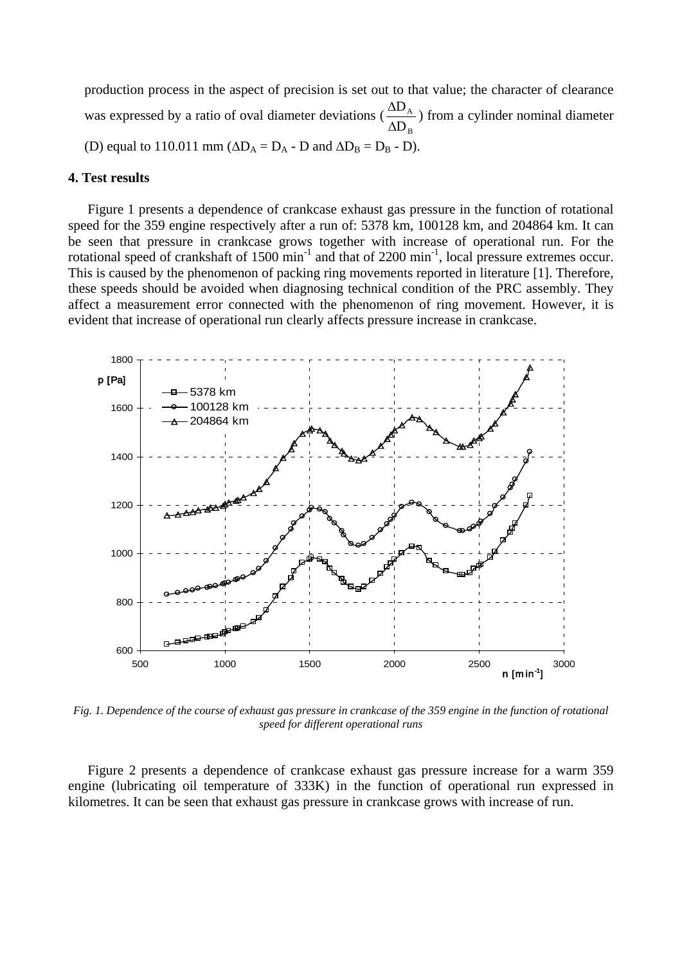production process in the aspect of precision is set out to that value; the character of clearance was expressed by a ratio of oval diameter deviations ( $\frac{\Delta}{\Delta}$ ) ∆ D D A B ) from a cylinder nominal diameter (D) equal to 110.011 mm ( $\Delta D_A = D_A - D$  and  $\Delta D_B = D_B - D$ ).

## **4. Test results**

Figure 1 presents a dependence of crankcase exhaust gas pressure in the function of rotational speed for the 359 engine respectively after a run of: 5378 km, 100128 km, and 204864 km. It can be seen that pressure in crankcase grows together with increase of operational run. For the rotational speed of crankshaft of 1500 min<sup>-1</sup> and that of 2200 min<sup>-1</sup>, local pressure extremes occur. This is caused by the phenomenon of packing ring movements reported in literature [1]. Therefore, these speeds should be avoided when diagnosing technical condition of the PRC assembly. They affect a measurement error connected with the phenomenon of ring movement. However, it is evident that increase of operational run clearly affects pressure increase in crankcase.



*Fig. 1. Dependence of the course of exhaust gas pressure in crankcase of the 359 engine in the function of rotational speed for different operational runs*

Figure 2 presents a dependence of crankcase exhaust gas pressure increase for a warm 359 engine (lubricating oil temperature of 333K) in the function of operational run expressed in kilometres. It can be seen that exhaust gas pressure in crankcase grows with increase of run.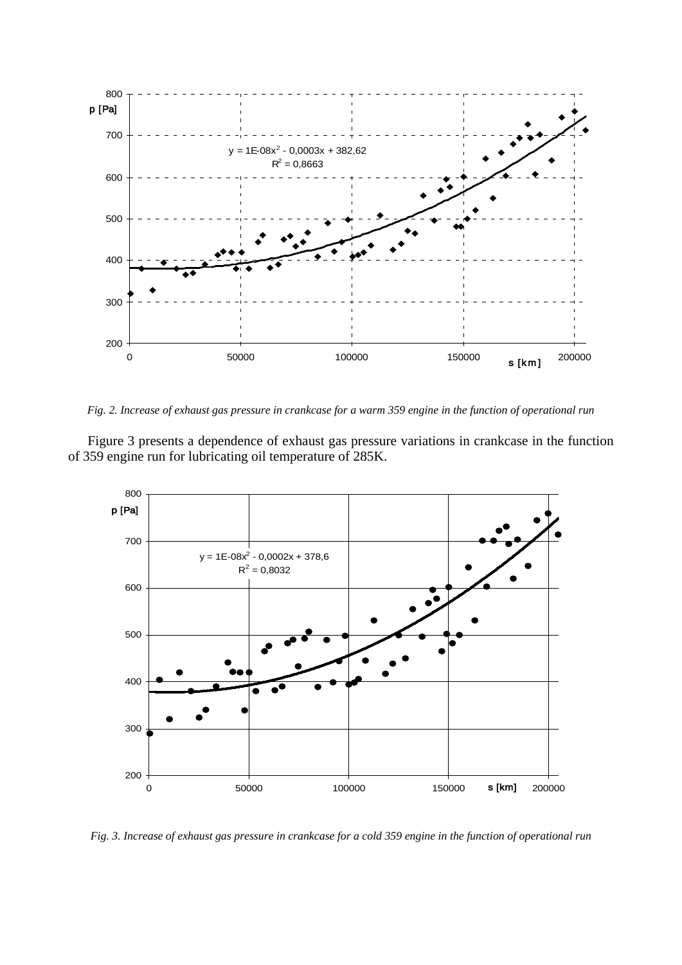

*Fig. 2. Increase of exhaust gas pressure in crankcase for a warm 359 engine in the function of operational run*

Figure 3 presents a dependence of exhaust gas pressure variations in crankcase in the function of 359 engine run for lubricating oil temperature of 285K.



*Fig. 3. Increase of exhaust gas pressure in crankcase for a cold 359 engine in the function of operational run*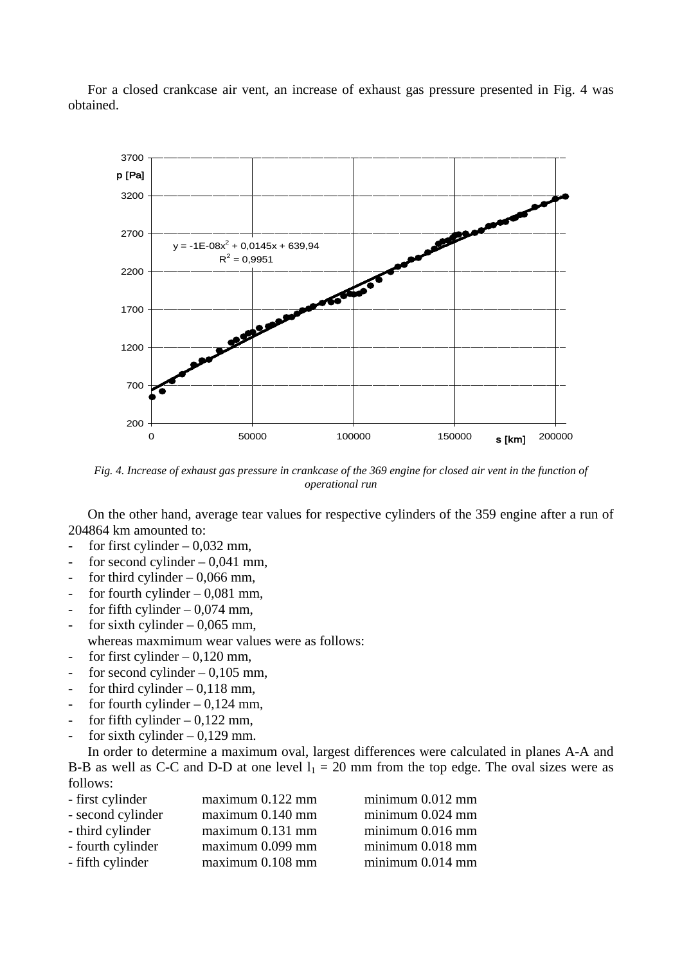



*Fig. 4. Increase of exhaust gas pressure in crankcase of the 369 engine for closed air vent in the function of operational run*

On the other hand, average tear values for respective cylinders of the 359 engine after a run of 204864 km amounted to:

- for first cylinder  $-0.032$  mm,
- for second cylinder  $-0.041$  mm,
- for third cylinder  $-0.066$  mm,
- for fourth cylinder  $-0.081$  mm,
- for fifth cylinder  $-0.074$  mm,
- for sixth cylinder  $-0.065$  mm, whereas maxmimum wear values were as follows:
- for first cylinder  $-0,120$  mm,
- for second cylinder  $-0.105$  mm,
- for third cylinder  $-0.118$  mm,
- for fourth cylinder  $-0,124$  mm,
- for fifth cylinder  $0,122$  mm,
- for sixth cylinder  $-0.129$  mm.

In order to determine a maximum oval, largest differences were calculated in planes A-A and B-B as well as C-C and D-D at one level  $l_1 = 20$  mm from the top edge. The oval sizes were as follows:

| - first cylinder  | maximum 0.122 mm | $minimum\ 0.012\ mm$ |
|-------------------|------------------|----------------------|
| - second cylinder | maximum 0.140 mm | $minimum\ 0.024\ mm$ |
| - third cylinder  | maximum 0.131 mm | $minimum\ 0.016\ mm$ |
| - fourth cylinder | maximum 0.099 mm | $minimum\ 0.018\ mm$ |
| - fifth cylinder  | maximum 0.108 mm | $minimum\ 0.014\ mm$ |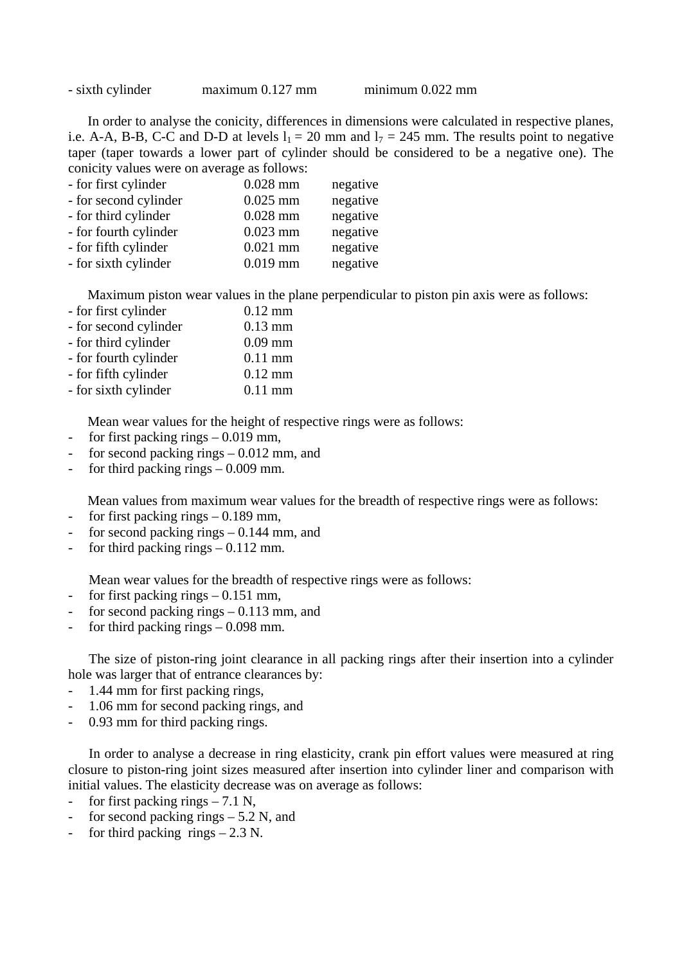| - sixth cylinder | $maximum$ 0.127 mm | $minimum\ 0.022\ mm$ |
|------------------|--------------------|----------------------|
|------------------|--------------------|----------------------|

In order to analyse the conicity, differences in dimensions were calculated in respective planes, i.e. A-A, B-B, C-C and D-D at levels  $l_1 = 20$  mm and  $l_7 = 245$  mm. The results point to negative taper (taper towards a lower part of cylinder should be considered to be a negative one). The conicity values were on average as follows:

| - for first cylinder  | $0.028$ mm | negative |
|-----------------------|------------|----------|
| - for second cylinder | $0.025$ mm | negative |
| - for third cylinder  | $0.028$ mm | negative |
| - for fourth cylinder | $0.023$ mm | negative |
| - for fifth cylinder  | $0.021$ mm | negative |
| - for sixth cylinder  | $0.019$ mm | negative |

Maximum piston wear values in the plane perpendicular to piston pin axis were as follows:

| $0.12$ mm |
|-----------|
| $0.13$ mm |
| $0.09$ mm |
| $0.11$ mm |
| $0.12$ mm |
| $0.11$ mm |
|           |

Mean wear values for the height of respective rings were as follows:

- for first packing rings  $0.019$  mm,
- for second packing rings 0.012 mm, and
- for third packing rings  $0.009$  mm.

Mean values from maximum wear values for the breadth of respective rings were as follows:

- for first packing rings 0.189 mm,
- for second packing rings  $0.144$  mm, and
- for third packing rings  $-0.112$  mm.

Mean wear values for the breadth of respective rings were as follows:

- for first packing rings 0.151 mm,
- for second packing rings  $0.113$  mm, and
- for third packing rings 0.098 mm.

The size of piston-ring joint clearance in all packing rings after their insertion into a cylinder hole was larger that of entrance clearances by:

- 1.44 mm for first packing rings,
- 1.06 mm for second packing rings, and
- 0.93 mm for third packing rings.

In order to analyse a decrease in ring elasticity, crank pin effort values were measured at ring closure to piston-ring joint sizes measured after insertion into cylinder liner and comparison with initial values. The elasticity decrease was on average as follows:

- for first packing rings  $-7.1$  N,
- for second packing rings  $-5.2$  N, and
- for third packing rings  $-2.3$  N.